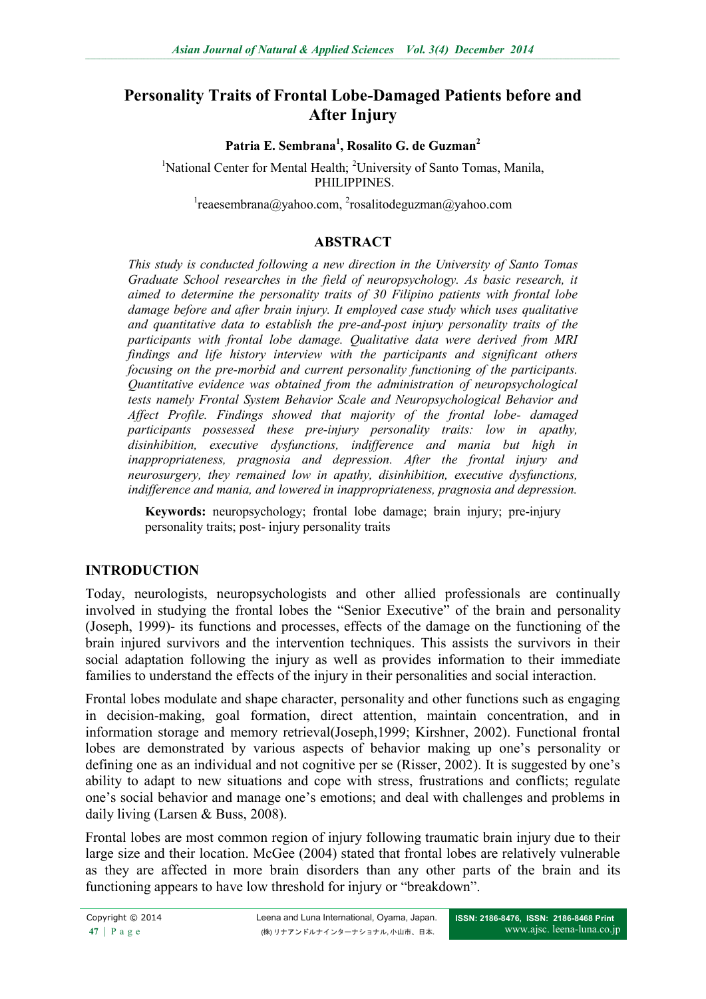# **Personality Traits of Frontal Lobe-Damaged Patients before and After Injury**

#### **Patria E. Sembrana<sup>1</sup> , Rosalito G. de Guzman<sup>2</sup>**

<sup>1</sup>National Center for Mental Health; <sup>2</sup>University of Santo Tomas, Manila, PHILIPPINES.

 $\alpha$ <sup>1</sup>[reaesembrana@yahoo.com,](mailto:1reaesembrana@yahoo.com) <sup>2</sup>rosalitodeguzman@yahoo.com

#### **ABSTRACT**

*This study is conducted following a new direction in the University of Santo Tomas Graduate School researches in the field of neuropsychology. As basic research, it aimed to determine the personality traits of 30 Filipino patients with frontal lobe damage before and after brain injury. It employed case study which uses qualitative and quantitative data to establish the pre-and-post injury personality traits of the participants with frontal lobe damage. Qualitative data were derived from MRI findings and life history interview with the participants and significant others focusing on the pre-morbid and current personality functioning of the participants. Quantitative evidence was obtained from the administration of neuropsychological tests namely Frontal System Behavior Scale and Neuropsychological Behavior and Affect Profile. Findings showed that majority of the frontal lobe- damaged participants possessed these pre-injury personality traits: low in apathy, disinhibition, executive dysfunctions, indifference and mania but high in inappropriateness, pragnosia and depression. After the frontal injury and neurosurgery, they remained low in apathy, disinhibition, executive dysfunctions, indifference and mania, and lowered in inappropriateness, pragnosia and depression.*

**Keywords:** neuropsychology; frontal lobe damage; brain injury; pre-injury personality traits; post- injury personality traits

#### **INTRODUCTION**

Today, neurologists, neuropsychologists and other allied professionals are continually involved in studying the frontal lobes the "Senior Executive" of the brain and personality (Joseph, 1999)- its functions and processes, effects of the damage on the functioning of the brain injured survivors and the intervention techniques. This assists the survivors in their social adaptation following the injury as well as provides information to their immediate families to understand the effects of the injury in their personalities and social interaction.

Frontal lobes modulate and shape character, personality and other functions such as engaging in decision-making, goal formation, direct attention, maintain concentration, and in information storage and memory retrieval(Joseph,1999; Kirshner, 2002). Functional frontal lobes are demonstrated by various aspects of behavior making up one's personality or defining one as an individual and not cognitive per se (Risser, 2002). It is suggested by one's ability to adapt to new situations and cope with stress, frustrations and conflicts; regulate one's social behavior and manage one's emotions; and deal with challenges and problems in daily living (Larsen & Buss, 2008).

Frontal lobes are most common region of injury following traumatic brain injury due to their large size and their location. McGee (2004) stated that frontal lobes are relatively vulnerable as they are affected in more brain disorders than any other parts of the brain and its functioning appears to have low threshold for injury or "breakdown".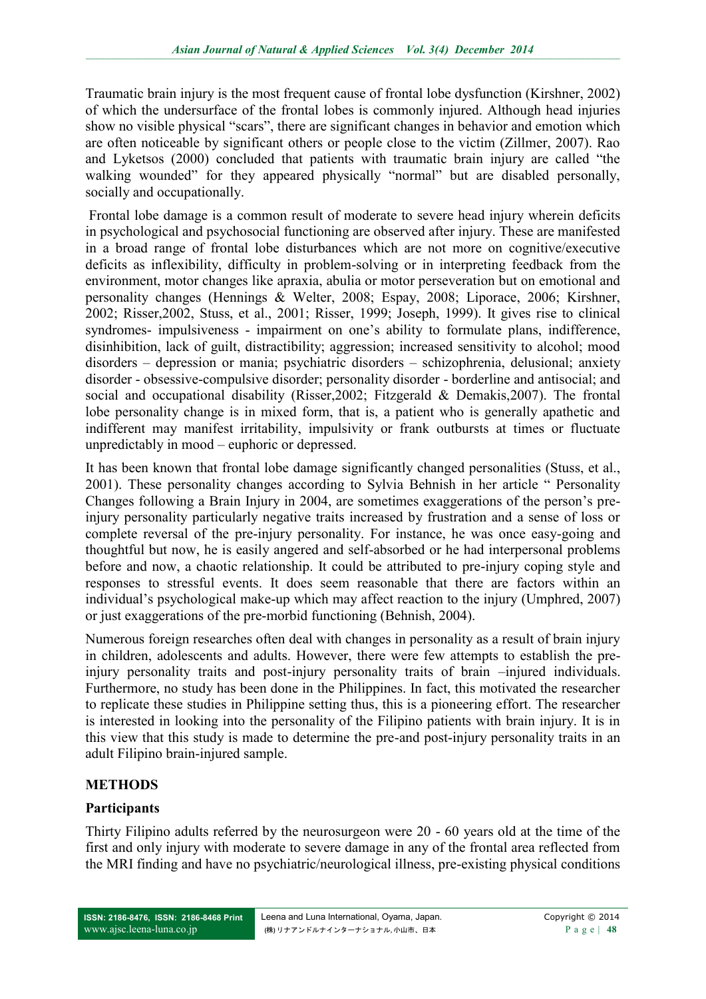Traumatic brain injury is the most frequent cause of frontal lobe dysfunction (Kirshner, 2002) of which the undersurface of the frontal lobes is commonly injured. Although head injuries show no visible physical "scars", there are significant changes in behavior and emotion which are often noticeable by significant others or people close to the victim (Zillmer, 2007). Rao and Lyketsos (2000) concluded that patients with traumatic brain injury are called "the walking wounded" for they appeared physically "normal" but are disabled personally, socially and occupationally.

Frontal lobe damage is a common result of moderate to severe head injury wherein deficits in psychological and psychosocial functioning are observed after injury. These are manifested in a broad range of frontal lobe disturbances which are not more on cognitive/executive deficits as inflexibility, difficulty in problem-solving or in interpreting feedback from the environment, motor changes like apraxia, abulia or motor perseveration but on emotional and personality changes (Hennings & Welter, 2008; Espay, 2008; Liporace, 2006; Kirshner, 2002; Risser,2002, Stuss, et al., 2001; Risser, 1999; Joseph, 1999). It gives rise to clinical syndromes- impulsiveness - impairment on one's ability to formulate plans, indifference, disinhibition, lack of guilt, distractibility; aggression; increased sensitivity to alcohol; mood disorders – depression or mania; psychiatric disorders – schizophrenia, delusional; anxiety disorder - obsessive-compulsive disorder; personality disorder - borderline and antisocial; and social and occupational disability (Risser,2002; Fitzgerald & Demakis,2007). The frontal lobe personality change is in mixed form, that is, a patient who is generally apathetic and indifferent may manifest irritability, impulsivity or frank outbursts at times or fluctuate unpredictably in mood – euphoric or depressed.

It has been known that frontal lobe damage significantly changed personalities (Stuss, et al., 2001). These personality changes according to Sylvia Behnish in her article " Personality Changes following a Brain Injury in 2004, are sometimes exaggerations of the person's preinjury personality particularly negative traits increased by frustration and a sense of loss or complete reversal of the pre-injury personality. For instance, he was once easy-going and thoughtful but now, he is easily angered and self-absorbed or he had interpersonal problems before and now, a chaotic relationship. It could be attributed to pre-injury coping style and responses to stressful events. It does seem reasonable that there are factors within an individual's psychological make-up which may affect reaction to the injury (Umphred, 2007) or just exaggerations of the pre-morbid functioning (Behnish, 2004).

Numerous foreign researches often deal with changes in personality as a result of brain injury in children, adolescents and adults. However, there were few attempts to establish the preinjury personality traits and post-injury personality traits of brain –injured individuals. Furthermore, no study has been done in the Philippines. In fact, this motivated the researcher to replicate these studies in Philippine setting thus, this is a pioneering effort. The researcher is interested in looking into the personality of the Filipino patients with brain injury. It is in this view that this study is made to determine the pre-and post-injury personality traits in an adult Filipino brain-injured sample.

### **METHODS**

### **Participants**

Thirty Filipino adults referred by the neurosurgeon were 20 - 60 years old at the time of the first and only injury with moderate to severe damage in any of the frontal area reflected from the MRI finding and have no psychiatric/neurological illness, pre-existing physical conditions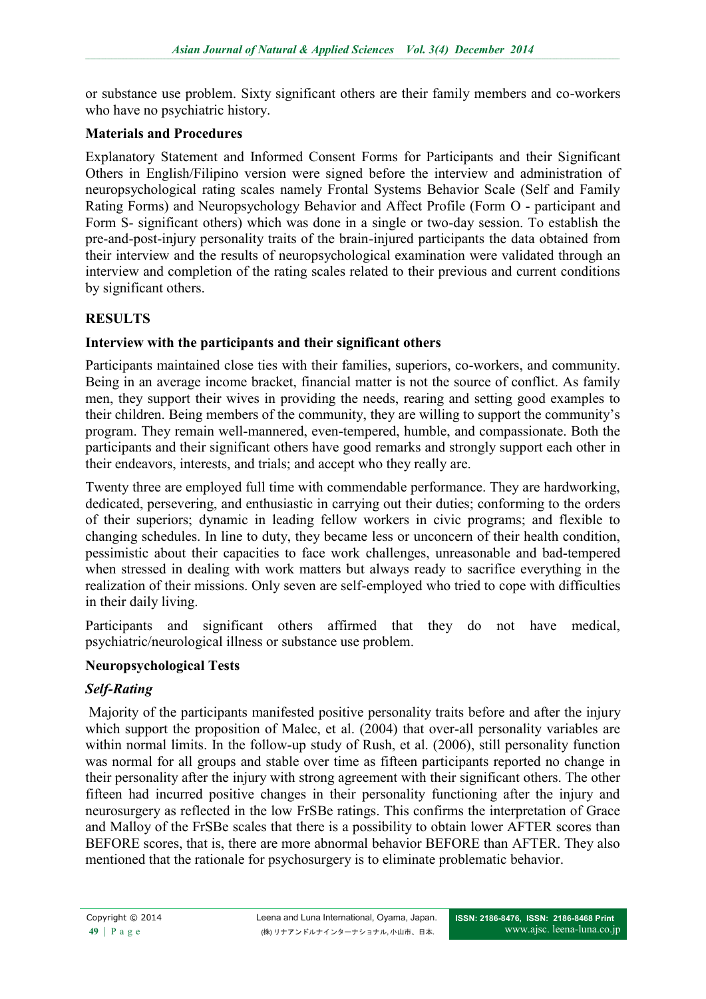or substance use problem. Sixty significant others are their family members and co-workers who have no psychiatric history.

### **Materials and Procedures**

Explanatory Statement and Informed Consent Forms for Participants and their Significant Others in English/Filipino version were signed before the interview and administration of neuropsychological rating scales namely Frontal Systems Behavior Scale (Self and Family Rating Forms) and Neuropsychology Behavior and Affect Profile (Form O - participant and Form S- significant others) which was done in a single or two-day session. To establish the pre-and-post-injury personality traits of the brain-injured participants the data obtained from their interview and the results of neuropsychological examination were validated through an interview and completion of the rating scales related to their previous and current conditions by significant others.

## **RESULTS**

### **Interview with the participants and their significant others**

Participants maintained close ties with their families, superiors, co-workers, and community. Being in an average income bracket, financial matter is not the source of conflict. As family men, they support their wives in providing the needs, rearing and setting good examples to their children. Being members of the community, they are willing to support the community's program. They remain well-mannered, even-tempered, humble, and compassionate. Both the participants and their significant others have good remarks and strongly support each other in their endeavors, interests, and trials; and accept who they really are.

Twenty three are employed full time with commendable performance. They are hardworking, dedicated, persevering, and enthusiastic in carrying out their duties; conforming to the orders of their superiors; dynamic in leading fellow workers in civic programs; and flexible to changing schedules. In line to duty, they became less or unconcern of their health condition, pessimistic about their capacities to face work challenges, unreasonable and bad-tempered when stressed in dealing with work matters but always ready to sacrifice everything in the realization of their missions. Only seven are self-employed who tried to cope with difficulties in their daily living.

Participants and significant others affirmed that they do not have medical, psychiatric/neurological illness or substance use problem.

### **Neuropsychological Tests**

### *Self-Rating*

Majority of the participants manifested positive personality traits before and after the injury which support the proposition of Malec, et al. (2004) that over-all personality variables are within normal limits. In the follow-up study of Rush, et al. (2006), still personality function was normal for all groups and stable over time as fifteen participants reported no change in their personality after the injury with strong agreement with their significant others. The other fifteen had incurred positive changes in their personality functioning after the injury and neurosurgery as reflected in the low FrSBe ratings. This confirms the interpretation of Grace and Malloy of the FrSBe scales that there is a possibility to obtain lower AFTER scores than BEFORE scores, that is, there are more abnormal behavior BEFORE than AFTER. They also mentioned that the rationale for psychosurgery is to eliminate problematic behavior.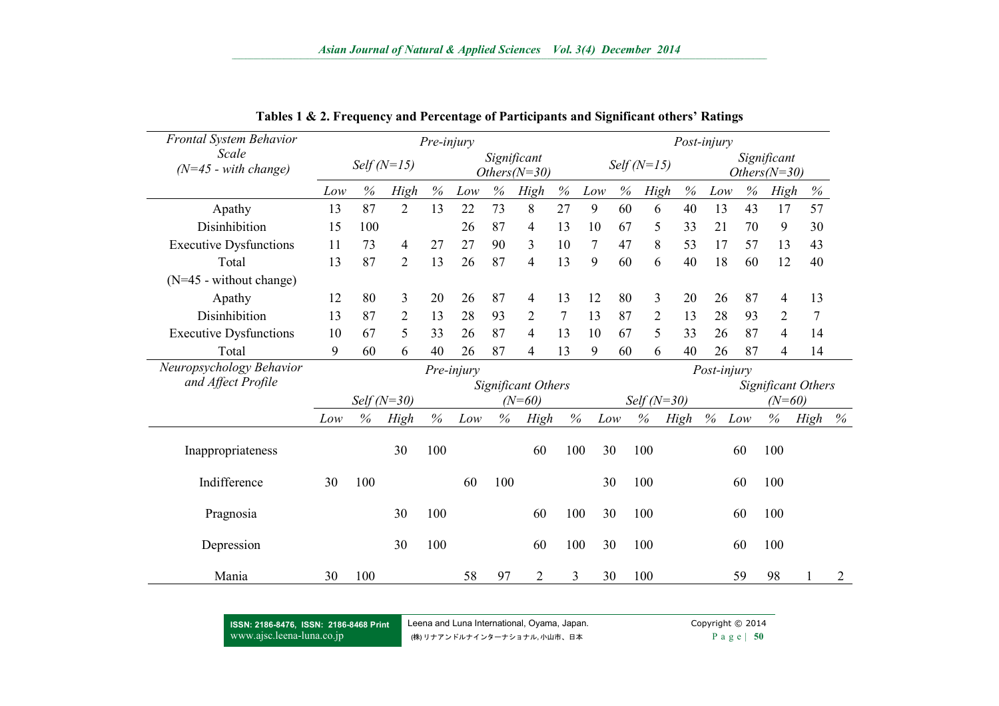| <b>Frontal System Behavior</b>  | Pre-injury    |                                               |                |          |     |               | Post-injury               |              |                |      |                               |      |      |      |                           |      |                |
|---------------------------------|---------------|-----------------------------------------------|----------------|----------|-----|---------------|---------------------------|--------------|----------------|------|-------------------------------|------|------|------|---------------------------|------|----------------|
| Scale<br>$(N=45$ - with change) |               | Significant<br>$Self(N=15)$<br>$Others(N=30)$ |                |          |     | Self $(N=15)$ |                           |              |                |      | Significant<br>$Others(N=30)$ |      |      |      |                           |      |                |
|                                 | Low           | $\%$                                          | High           | $\%$     | Low | $\%$          | High                      | $\%$         | Low            | $\%$ | <b>High</b>                   | $\%$ | Low  | $\%$ | High                      | $\%$ |                |
| Apathy                          | 13            | 87                                            | $\overline{2}$ | 13       | 22  | 73            | 8                         | 27           | 9              | 60   | 6                             | 40   | 13   | 43   | 17                        | 57   |                |
| Disinhibition                   | 15            | 100                                           |                |          | 26  | 87            | 4                         | 13           | 10             | 67   | 5                             | 33   | 21   | 70   | 9                         | 30   |                |
| <b>Executive Dysfunctions</b>   | 11            | 73                                            | 4              | 27       | 27  | 90            | 3                         | 10           | $\overline{7}$ | 47   | 8                             | 53   | 17   | 57   | 13                        | 43   |                |
| Total                           | 13            | 87                                            | $\overline{2}$ | 13       | 26  | 87            | 4                         | 13           | 9              | 60   | 6                             | 40   | 18   | 60   | 12                        | 40   |                |
| $(N=45$ - without change)       |               |                                               |                |          |     |               |                           |              |                |      |                               |      |      |      |                           |      |                |
| Apathy                          | 12            | 80                                            | 3              | 20       | 26  | 87            | $\overline{4}$            | 13           | 12             | 80   | 3                             | 20   | 26   | 87   | $\overline{\mathcal{A}}$  | 13   |                |
| Disinhibition                   | 13            | 87                                            | $\overline{2}$ | 13       | 28  | 93            | $\overline{2}$            | $\tau$       | 13             | 87   | $\overline{2}$                | 13   | 28   | 93   | $\overline{2}$            | 7    |                |
| <b>Executive Dysfunctions</b>   | 10            | 67                                            | 5              | 33       | 26  | 87            | 4                         | 13           | 10             | 67   | 5                             | 33   | 26   | 87   | $\overline{4}$            | 14   |                |
| Total                           | 9             | 60                                            | 6              | 40       | 26  | 87            | $\overline{4}$            | 13           | 9              | 60   | 6                             | 40   | 26   | 87   | 4                         | 14   |                |
| Neuropsychology Behavior        | Pre-injury    |                                               |                |          |     |               |                           |              | Post-injury    |      |                               |      |      |      |                           |      |                |
| and Affect Profile              |               |                                               |                |          |     |               | <b>Significant Others</b> |              |                |      |                               |      |      |      | <b>Significant Others</b> |      |                |
|                                 | Self $(N=30)$ |                                               |                | $(N=60)$ |     |               |                           | $Self(N=30)$ |                |      | $(N=60)$                      |      |      |      |                           |      |                |
|                                 | Low           | $\%$                                          | High           | $\%$     | Low | $\%$          | High                      | $\%$         |                | Low  | $\%$                          | High | $\%$ | Low  | $\%$                      | High | $\%$           |
| Inappropriateness               |               |                                               | 30             | 100      |     |               | 60                        | 100          |                | 30   | 100                           |      |      | 60   | 100                       |      |                |
| Indifference                    | 30            | 100                                           |                |          | 60  | 100           |                           |              |                | 30   | 100                           |      |      | 60   | 100                       |      |                |
| Pragnosia                       |               |                                               | 30             | 100      |     |               | 60                        | 100          |                | 30   | 100                           |      |      | 60   | 100                       |      |                |
| Depression                      |               |                                               | 30             | 100      |     |               | 60                        | 100          |                | 30   | 100                           |      |      | 60   | 100                       |      |                |
| Mania                           | 30            | 100                                           |                |          | 58  | 97            | $\overline{2}$            | 3            |                | 30   | 100                           |      |      | 59   | 98                        |      | $\overline{2}$ |

**Tables 1 & 2. Frequency and Percentage of Participants and Significant others' Ratings**

**ISSN: 2186-8476, ISSN: 2186-8468 Print** [www.ajsc.leena-luna.co.jp](http://www.ajssh.leena-luna.co.jp/)

Leena and Luna International, Oyama, Japan. Copyright © 2014 (株) リナアンドルナインターナショナル, 小山市、日本 **P** a g e | 50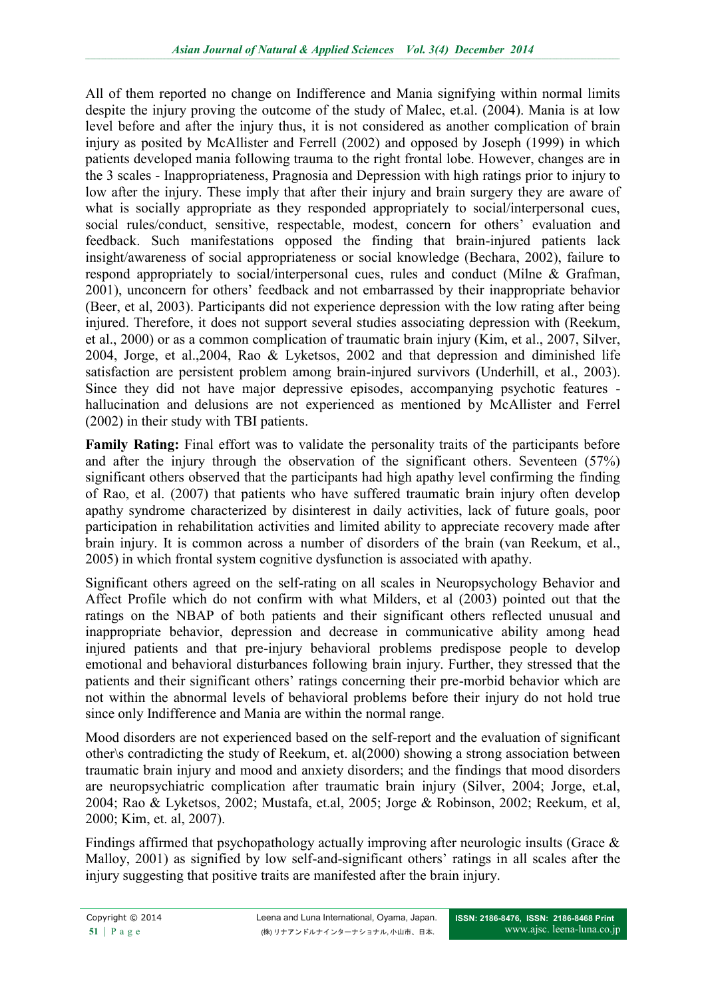All of them reported no change on Indifference and Mania signifying within normal limits despite the injury proving the outcome of the study of Malec, et.al. (2004). Mania is at low level before and after the injury thus, it is not considered as another complication of brain injury as posited by McAllister and Ferrell (2002) and opposed by Joseph (1999) in which patients developed mania following trauma to the right frontal lobe. However, changes are in the 3 scales - Inappropriateness, Pragnosia and Depression with high ratings prior to injury to low after the injury. These imply that after their injury and brain surgery they are aware of what is socially appropriate as they responded appropriately to social/interpersonal cues, social rules/conduct, sensitive, respectable, modest, concern for others' evaluation and feedback. Such manifestations opposed the finding that brain-injured patients lack insight/awareness of social appropriateness or social knowledge (Bechara, 2002), failure to respond appropriately to social/interpersonal cues, rules and conduct (Milne & Grafman, 2001), unconcern for others' feedback and not embarrassed by their inappropriate behavior (Beer, et al, 2003). Participants did not experience depression with the low rating after being injured. Therefore, it does not support several studies associating depression with (Reekum, et al., 2000) or as a common complication of traumatic brain injury (Kim, et al., 2007, Silver, 2004, Jorge, et al.,2004, Rao & Lyketsos, 2002 and that depression and diminished life satisfaction are persistent problem among brain-injured survivors (Underhill, et al., 2003). Since they did not have major depressive episodes, accompanying psychotic features hallucination and delusions are not experienced as mentioned by McAllister and Ferrel (2002) in their study with TBI patients.

**Family Rating:** Final effort was to validate the personality traits of the participants before and after the injury through the observation of the significant others. Seventeen (57%) significant others observed that the participants had high apathy level confirming the finding of Rao, et al. (2007) that patients who have suffered traumatic brain injury often develop apathy syndrome characterized by disinterest in daily activities, lack of future goals, poor participation in rehabilitation activities and limited ability to appreciate recovery made after brain injury. It is common across a number of disorders of the brain (van Reekum, et al., 2005) in which frontal system cognitive dysfunction is associated with apathy.

Significant others agreed on the self-rating on all scales in Neuropsychology Behavior and Affect Profile which do not confirm with what Milders, et al (2003) pointed out that the ratings on the NBAP of both patients and their significant others reflected unusual and inappropriate behavior, depression and decrease in communicative ability among head injured patients and that pre-injury behavioral problems predispose people to develop emotional and behavioral disturbances following brain injury. Further, they stressed that the patients and their significant others' ratings concerning their pre-morbid behavior which are not within the abnormal levels of behavioral problems before their injury do not hold true since only Indifference and Mania are within the normal range.

Mood disorders are not experienced based on the self-report and the evaluation of significant other\s contradicting the study of Reekum, et. al(2000) showing a strong association between traumatic brain injury and mood and anxiety disorders; and the findings that mood disorders are neuropsychiatric complication after traumatic brain injury (Silver, 2004; Jorge, et.al, 2004; Rao & Lyketsos, 2002; Mustafa, et.al, 2005; Jorge & Robinson, 2002; Reekum, et al, 2000; Kim, et. al, 2007).

Findings affirmed that psychopathology actually improving after neurologic insults (Grace & Malloy, 2001) as signified by low self-and-significant others' ratings in all scales after the injury suggesting that positive traits are manifested after the brain injury.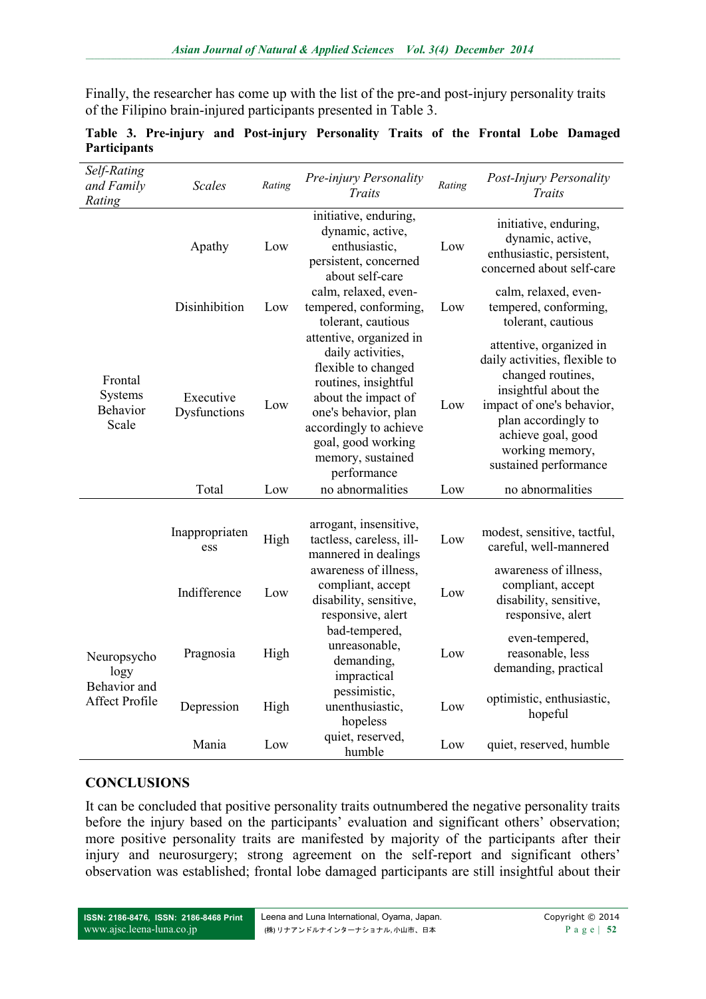Finally, the researcher has come up with the list of the pre-and post-injury personality traits of the Filipino brain-injured participants presented in Table 3.

| Self-Rating<br>and Family<br>Rating                   | <b>Scales</b>             | Rating | Pre-injury Personality<br>Traits                                                                                                                                                                                               | Rating | Post-Injury Personality<br>Traits                                                                                                                                                                                           |  |  |  |
|-------------------------------------------------------|---------------------------|--------|--------------------------------------------------------------------------------------------------------------------------------------------------------------------------------------------------------------------------------|--------|-----------------------------------------------------------------------------------------------------------------------------------------------------------------------------------------------------------------------------|--|--|--|
|                                                       | Apathy                    | Low    | initiative, enduring,<br>dynamic, active,<br>enthusiastic,<br>persistent, concerned<br>about self-care                                                                                                                         | Low    | initiative, enduring,<br>dynamic, active,<br>enthusiastic, persistent,<br>concerned about self-care                                                                                                                         |  |  |  |
| Frontal<br>Systems<br>Behavior<br>Scale               | Disinhibition             | Low    | calm, relaxed, even-<br>tempered, conforming,<br>tolerant, cautious                                                                                                                                                            | Low    | calm, relaxed, even-<br>tempered, conforming,<br>tolerant, cautious                                                                                                                                                         |  |  |  |
|                                                       | Executive<br>Dysfunctions | Low    | attentive, organized in<br>daily activities,<br>flexible to changed<br>routines, insightful<br>about the impact of<br>one's behavior, plan<br>accordingly to achieve<br>goal, good working<br>memory, sustained<br>performance | Low    | attentive, organized in<br>daily activities, flexible to<br>changed routines,<br>insightful about the<br>impact of one's behavior,<br>plan accordingly to<br>achieve goal, good<br>working memory,<br>sustained performance |  |  |  |
|                                                       | Total                     | Low    | no abnormalities                                                                                                                                                                                                               | Low    | no abnormalities                                                                                                                                                                                                            |  |  |  |
| Neuropsycho<br>logy<br>Behavior and<br>Affect Profile | Inappropriaten<br>ess     | High   | arrogant, insensitive,<br>tactless, careless, ill-<br>mannered in dealings                                                                                                                                                     | Low    | modest, sensitive, tactful,<br>careful, well-mannered                                                                                                                                                                       |  |  |  |
|                                                       | Indifference              | Low    | awareness of illness,<br>compliant, accept<br>disability, sensitive,<br>responsive, alert                                                                                                                                      | Low    | awareness of illness,<br>compliant, accept<br>disability, sensitive,<br>responsive, alert                                                                                                                                   |  |  |  |
|                                                       | Pragnosia                 | High   | bad-tempered,<br>unreasonable,<br>demanding,<br>impractical                                                                                                                                                                    | Low    | even-tempered,<br>reasonable, less<br>demanding, practical                                                                                                                                                                  |  |  |  |
|                                                       | Depression                | High   | pessimistic,<br>unenthusiastic,<br>hopeless                                                                                                                                                                                    | Low    | optimistic, enthusiastic,<br>hopeful                                                                                                                                                                                        |  |  |  |
|                                                       | Mania                     | Low    | quiet, reserved,<br>humble                                                                                                                                                                                                     | Low    | quiet, reserved, humble                                                                                                                                                                                                     |  |  |  |

#### **Table 3. Pre-injury and Post-injury Personality Traits of the Frontal Lobe Damaged Participants**

#### **CONCLUSIONS**

It can be concluded that positive personality traits outnumbered the negative personality traits before the injury based on the participants' evaluation and significant others' observation; more positive personality traits are manifested by majority of the participants after their injury and neurosurgery; strong agreement on the self-report and significant others' observation was established; frontal lobe damaged participants are still insightful about their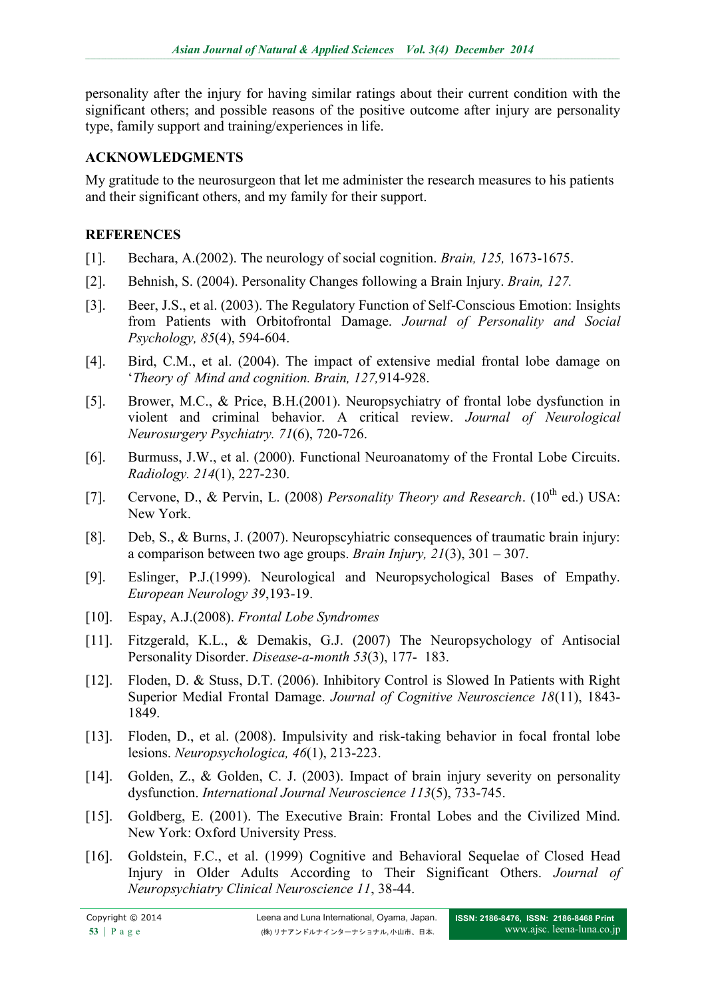personality after the injury for having similar ratings about their current condition with the significant others; and possible reasons of the positive outcome after injury are personality type, family support and training/experiences in life.

### **ACKNOWLEDGMENTS**

My gratitude to the neurosurgeon that let me administer the research measures to his patients and their significant others, and my family for their support.

# **REFERENCES**

- [1]. Bechara, A.(2002). The neurology of social cognition. *Brain, 125,* 1673-1675.
- [2]. Behnish, S. (2004). Personality Changes following a Brain Injury. *Brain, 127.*
- [3]. Beer, J.S., et al. (2003). The Regulatory Function of Self-Conscious Emotion: Insights from Patients with Orbitofrontal Damage. *Journal of Personality and Social Psychology, 85*(4), 594-604.
- [4]. Bird, C.M., et al. (2004). The impact of extensive medial frontal lobe damage on '*Theory of Mind and cognition. Brain, 127,*914-928.
- [5]. Brower, M.C., & Price, B.H.(2001). Neuropsychiatry of frontal lobe dysfunction in violent and criminal behavior. A critical review. *Journal of Neurological Neurosurgery Psychiatry. 71*(6), 720-726.
- [6]. Burmuss, J.W., et al. (2000). Functional Neuroanatomy of the Frontal Lobe Circuits. *Radiology. 214*(1), 227-230.
- [7]. Cervone, D., & Pervin, L. (2008) *Personality Theory and Research*. (10<sup>th</sup> ed.) USA: New York.
- [8]. Deb, S., & Burns, J. (2007). Neuropscyhiatric consequences of traumatic brain injury: a comparison between two age groups. *Brain Injury, 21*(3), 301 – 307.
- [9]. Eslinger, P.J.(1999). Neurological and Neuropsychological Bases of Empathy. *European Neurology 39*,193-19.
- [10]. Espay, A.J.(2008). *Frontal Lobe Syndromes*
- [11]. Fitzgerald, K.L., & Demakis, G.J. (2007) The Neuropsychology of Antisocial Personality Disorder. *Disease-a-month 53*(3), 177- 183.
- [12]. Floden, D. & Stuss, D.T. (2006). Inhibitory Control is Slowed In Patients with Right Superior Medial Frontal Damage. *Journal of Cognitive Neuroscience 18*(11), 1843- 1849.
- [13]. Floden, D., et al. (2008). Impulsivity and risk-taking behavior in focal frontal lobe lesions. *Neuropsychologica, 46*(1), 213-223.
- [14]. Golden, Z., & Golden, C. J. (2003). Impact of brain injury severity on personality dysfunction. *International Journal Neuroscience 113*(5), 733-745.
- [15]. Goldberg, E. (2001). The Executive Brain: Frontal Lobes and the Civilized Mind. New York: Oxford University Press.
- [16]. Goldstein, F.C., et al. (1999) Cognitive and Behavioral Sequelae of Closed Head Injury in Older Adults According to Their Significant Others. *Journal of Neuropsychiatry Clinical Neuroscience 11*, 38-44.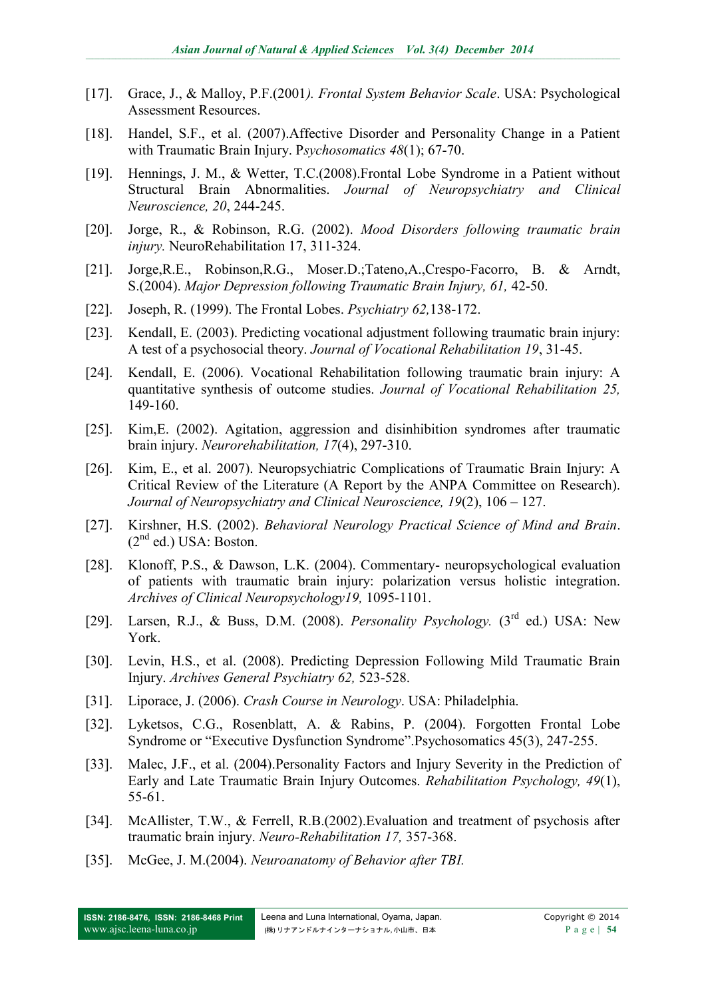- [17]. Grace, J., & Malloy, P.F.(2001*). Frontal System Behavior Scale*. USA: Psychological Assessment Resources.
- [18]. Handel, S.F., et al. (2007).Affective Disorder and Personality Change in a Patient with Traumatic Brain Injury. P*sychosomatics 48*(1); 67-70.
- [19]. Hennings, J. M., & Wetter, T.C.(2008).Frontal Lobe Syndrome in a Patient without Structural Brain Abnormalities. *Journal of Neuropsychiatry and Clinical Neuroscience, 20*, 244-245.
- [20]. Jorge, R., & Robinson, R.G. (2002). *Mood Disorders following traumatic brain injury.* NeuroRehabilitation 17, 311-324.
- [21]. Jorge,R.E., Robinson,R.G., Moser.D.;Tateno,A.,Crespo-Facorro, B. & Arndt, S.(2004). *Major Depression following Traumatic Brain Injury, 61,* 42-50.
- [22]. Joseph, R. (1999). The Frontal Lobes. *Psychiatry 62,*138-172.
- [23]. Kendall, E. (2003). Predicting vocational adjustment following traumatic brain injury: A test of a psychosocial theory. *Journal of Vocational Rehabilitation 19*, 31-45.
- [24]. Kendall, E. (2006). Vocational Rehabilitation following traumatic brain injury: A quantitative synthesis of outcome studies. *Journal of Vocational Rehabilitation 25,* 149-160.
- [25]. Kim,E. (2002). Agitation, aggression and disinhibition syndromes after traumatic brain injury. *Neurorehabilitation, 17*(4), 297-310.
- [26]. Kim, E., et al. 2007). Neuropsychiatric Complications of Traumatic Brain Injury: A Critical Review of the Literature (A Report by the ANPA Committee on Research). *Journal of Neuropsychiatry and Clinical Neuroscience, 19*(2), 106 – 127.
- [27]. Kirshner, H.S. (2002). *Behavioral Neurology Practical Science of Mind and Brain*.  $(2<sup>nd</sup> ed.)$  USA: Boston.
- [28]. Klonoff, P.S., & Dawson, L.K. (2004). Commentary- neuropsychological evaluation of patients with traumatic brain injury: polarization versus holistic integration. *Archives of Clinical Neuropsychology19,* 1095-1101.
- [29]. Larsen, R.J., & Buss, D.M. (2008). *Personality Psychology.* (3rd ed.) USA: New York.
- [30]. Levin, H.S., et al. (2008). Predicting Depression Following Mild Traumatic Brain Injury. *Archives General Psychiatry 62,* 523-528.
- [31]. Liporace, J. (2006). *Crash Course in Neurology*. USA: Philadelphia.
- [32]. Lyketsos, C.G., Rosenblatt, A. & Rabins, P. (2004). Forgotten Frontal Lobe Syndrome or "Executive Dysfunction Syndrome".Psychosomatics 45(3), 247-255.
- [33]. Malec, J.F., et al. (2004).Personality Factors and Injury Severity in the Prediction of Early and Late Traumatic Brain Injury Outcomes. *Rehabilitation Psychology, 49*(1), 55-61.
- [34]. McAllister, T.W., & Ferrell, R.B.(2002).Evaluation and treatment of psychosis after traumatic brain injury. *Neuro-Rehabilitation 17,* 357-368.
- [35]. McGee, J. M.(2004). *Neuroanatomy of Behavior after TBI.*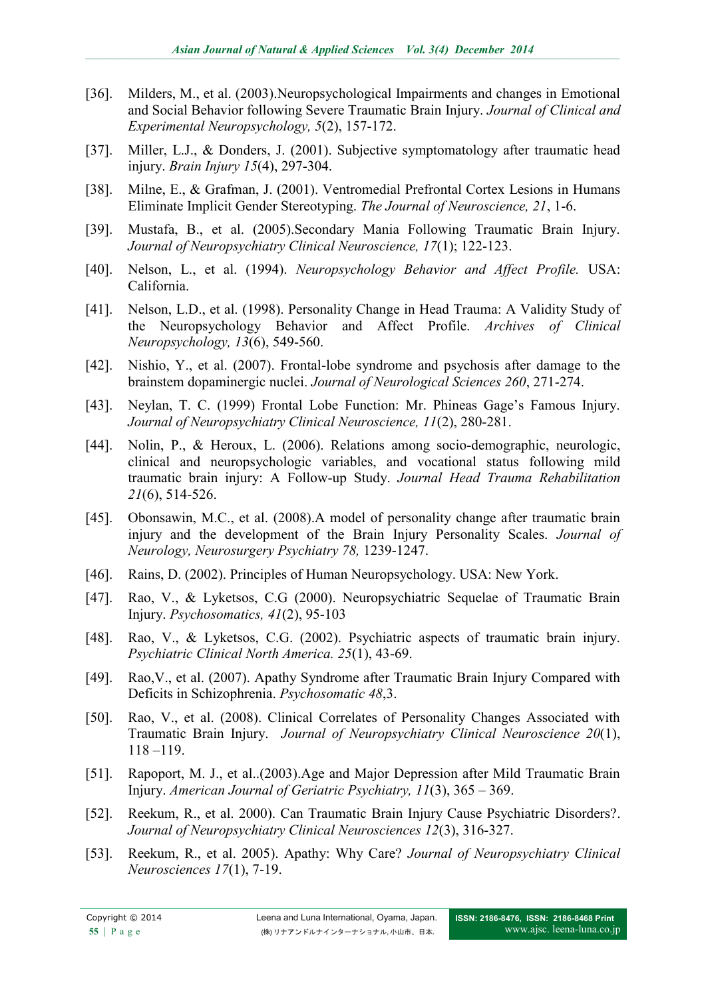- [36]. Milders, M., et al. (2003).Neuropsychological Impairments and changes in Emotional and Social Behavior following Severe Traumatic Brain Injury. *Journal of Clinical and Experimental Neuropsychology, 5*(2), 157-172.
- [37]. Miller, L.J., & Donders, J. (2001). Subjective symptomatology after traumatic head injury. *Brain Injury 15*(4), 297-304.
- [38]. Milne, E., & Grafman, J. (2001). Ventromedial Prefrontal Cortex Lesions in Humans Eliminate Implicit Gender Stereotyping. *The Journal of Neuroscience, 21*, 1-6.
- [39]. Mustafa, B., et al. (2005).Secondary Mania Following Traumatic Brain Injury. *Journal of Neuropsychiatry Clinical Neuroscience, 17*(1); 122-123.
- [40]. Nelson, L., et al. (1994). *Neuropsychology Behavior and Affect Profile.* USA: California.
- [41]. Nelson, L.D., et al. (1998). Personality Change in Head Trauma: A Validity Study of the Neuropsychology Behavior and Affect Profile. *Archives of Clinical Neuropsychology, 13*(6), 549-560.
- [42]. Nishio, Y., et al. (2007). Frontal-lobe syndrome and psychosis after damage to the brainstem dopaminergic nuclei. *Journal of Neurological Sciences 260*, 271-274.
- [43]. Neylan, T. C. (1999) Frontal Lobe Function: Mr. Phineas Gage's Famous Injury. *Journal of Neuropsychiatry Clinical Neuroscience, 11*(2), 280-281.
- [44]. Nolin, P., & Heroux, L. (2006). Relations among socio-demographic, neurologic, clinical and neuropsychologic variables, and vocational status following mild traumatic brain injury: A Follow-up Study. *Journal Head Trauma Rehabilitation 21*(6), 514-526.
- [45]. Obonsawin, M.C., et al. (2008).A model of personality change after traumatic brain injury and the development of the Brain Injury Personality Scales. *Journal of Neurology, Neurosurgery Psychiatry 78,* 1239-1247.
- [46]. Rains, D. (2002). Principles of Human Neuropsychology. USA: New York.
- [47]. Rao, V., & Lyketsos, C.G (2000). Neuropsychiatric Sequelae of Traumatic Brain Injury. *Psychosomatics, 41*(2), 95-103
- [48]. Rao, V., & Lyketsos, C.G. (2002). Psychiatric aspects of traumatic brain injury. *Psychiatric Clinical North America. 25*(1), 43-69.
- [49]. Rao,V., et al. (2007). Apathy Syndrome after Traumatic Brain Injury Compared with Deficits in Schizophrenia. *Psychosomatic 48*,3.
- [50]. Rao, V., et al. (2008). Clinical Correlates of Personality Changes Associated with Traumatic Brain Injury. *Journal of Neuropsychiatry Clinical Neuroscience 20*(1), 118 –119.
- [51]. Rapoport, M. J., et al..(2003).Age and Major Depression after Mild Traumatic Brain Injury. *American Journal of Geriatric Psychiatry, 11*(3), 365 – 369.
- [52]. Reekum, R., et al. 2000). Can Traumatic Brain Injury Cause Psychiatric Disorders?. *Journal of Neuropsychiatry Clinical Neurosciences 12*(3), 316-327.
- [53]. Reekum, R., et al. 2005). Apathy: Why Care? *Journal of Neuropsychiatry Clinical Neurosciences 17*(1), 7-19.